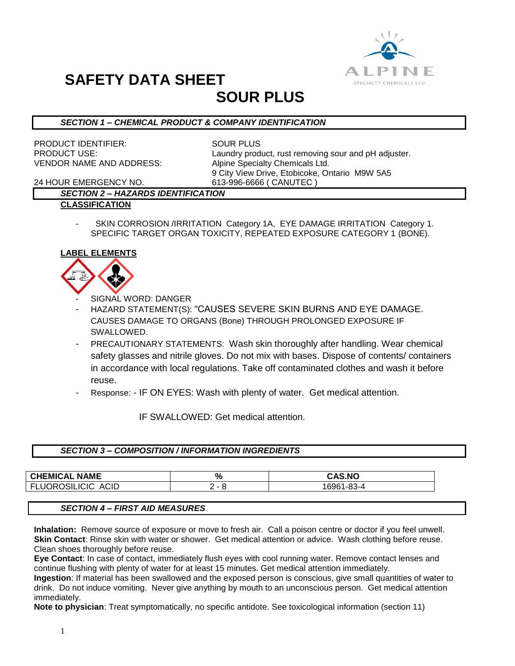

# **SAFETY DATA SHEET**

# **SOUR PLUS**

### *SECTION 1 – CHEMICAL PRODUCT & COMPANY IDENTIFICATION*

PRODUCT IDENTIFIER: SOUR PLUS VENDOR NAME AND ADDRESS: Alpine Specialty Chemicals Ltd.

PRODUCT USE: Laundry product, rust removing sour and pH adjuster. 9 City View Drive, Etobicoke, Ontario M9W 5A5

24 HOUR EMERGENCY NO. 613-996-6666 ( CANUTEC )

### *SECTION 2 – HAZARDS IDENTIFICATION*

- **CLASSIFICATION**
	- SKIN CORROSION /IRRITATION Category 1A, EYE DAMAGE IRRITATION Category 1. SPECIFIC TARGET ORGAN TOXICITY, REPEATED EXPOSURE CATEGORY 1 (BONE).

### **LABEL ELEMENTS**



- SIGNAL WORD: DANGER
- HAZARD STATEMENT(S): "CAUSES SEVERE SKIN BURNS AND EYE DAMAGE. CAUSES DAMAGE TO ORGANS (Bone) THROUGH PROLONGED EXPOSURE IF SWALLOWED.
- PRECAUTIONARY STATEMENTS: Wash skin thoroughly after handling. Wear chemical safety glasses and nitrile gloves. Do not mix with bases. Dispose of contents/ containers in accordance with local regulations. Take off contaminated clothes and wash it before reuse.
- Response: IF ON EYES: Wash with plenty of water. Get medical attention.

IF SWALLOWED: Get medical attention.

### *SECTION 3 – COMPOSITION / INFORMATION INGREDIENTS*

| <b>CHEMICAL NAME</b>                                          | o,<br>70 | <b>CAS.NO</b> |
|---------------------------------------------------------------|----------|---------------|
| .<br>E<br>ACID<br><br>$\overline{\phantom{a}}$<br>ாபட<br>וורג | <u>_</u> | ົ<br>. ථථ-උ   |

### *SECTION 4 – FIRST AID MEASURES*

**Inhalation:** Remove source of exposure or move to fresh air. Call a poison centre or doctor if you feel unwell. **Skin Contact**: Rinse skin with water or shower. Get medical attention or advice. Wash clothing before reuse. Clean shoes thoroughly before reuse.

**Eye Contact**: In case of contact, immediately flush eyes with cool running water. Remove contact lenses and continue flushing with plenty of water for at least 15 minutes. Get medical attention immediately.

**Ingestion**: If material has been swallowed and the exposed person is conscious, give small quantities of water to drink. Do not induce vomiting. Never give anything by mouth to an unconscious person. Get medical attention immediately.

**Note to physician**: Treat symptomatically, no specific antidote. See toxicological information (section 11)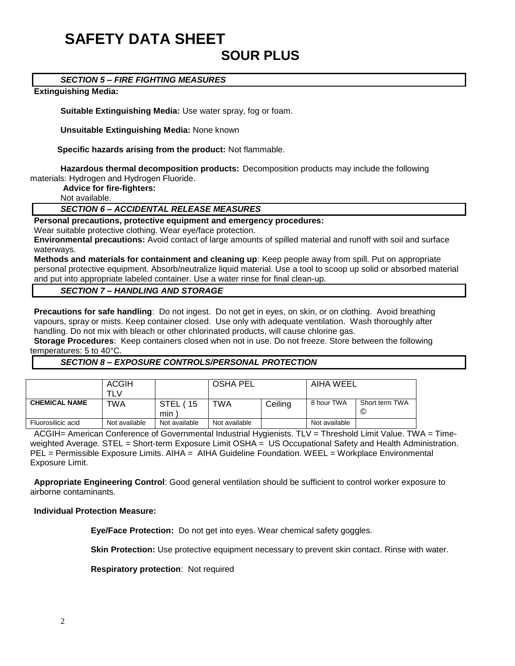# **SAFETY DATA SHEET SOUR PLUS**

*SECTION 5 – FIRE FIGHTING MEASURES*

#### **Extinguishing Media:**

**Suitable Extinguishing Media:** Use water spray, fog or foam.

**Unsuitable Extinguishing Media:** None known

 **Specific hazards arising from the product:** Not flammable.

**Hazardous thermal decomposition products:** Decomposition products may include the following materials: Hydrogen and Hydrogen Fluoride.

**Advice for fire-fighters:**

Not available.

#### *SECTION 6 – ACCIDENTAL RELEASE MEASURES*

**Personal precautions, protective equipment and emergency procedures:**

Wear suitable protective clothing. Wear eye/face protection.

**Environmental precautions:** Avoid contact of large amounts of spilled material and runoff with soil and surface waterways.

**Methods and materials for containment and cleaning up**: Keep people away from spill. Put on appropriate personal protective equipment. Absorb/neutralize liquid material. Use a tool to scoop up solid or absorbed material and put into appropriate labeled container. Use a water rinse for final clean-up.

#### *SECTION 7 – HANDLING AND STORAGE*

**Precautions for safe handling**: Do not ingest. Do not get in eyes, on skin, or on clothing. Avoid breathing vapours, spray or mists. Keep container closed. Use only with adequate ventilation. Wash thoroughly after handling. Do not mix with bleach or other chlorinated products, will cause chlorine gas.

**Storage Procedures**: Keep containers closed when not in use. Do not freeze. Store between the following temperatures: 5 to 40°C.

#### *SECTION 8 – EXPOSURE CONTROLS/PERSONAL PROTECTION*

|                      | <b>ACGIH</b><br>TI V |                          | <b>OSHA PEL</b> |         | AIHA WEEL     |                     |
|----------------------|----------------------|--------------------------|-----------------|---------|---------------|---------------------|
| <b>CHEMICAL NAME</b> | TWA                  | <b>STEL</b><br>15<br>min | TWA             | Ceiling | 8 hour TWA    | Short term TWA<br>© |
| Fluorosilicic acid   | Not available        | Not available            | Not available   |         | Not available |                     |

ACGIH= American Conference of Governmental Industrial Hygienists. TLV = Threshold Limit Value. TWA = Timeweighted Average. STEL = Short-term Exposure Limit OSHA = US Occupational Safety and Health Administration. PEL = Permissible Exposure Limits. AIHA = AIHA Guideline Foundation. WEEL = Workplace Environmental Exposure Limit.

**Appropriate Engineering Control**: Good general ventilation should be sufficient to control worker exposure to airborne contaminants.

#### **Individual Protection Measure:**

**Eye/Face Protection:** Do not get into eyes. Wear chemical safety goggles.

**Skin Protection:** Use protective equipment necessary to prevent skin contact. Rinse with water.

**Respiratory protection**: Not required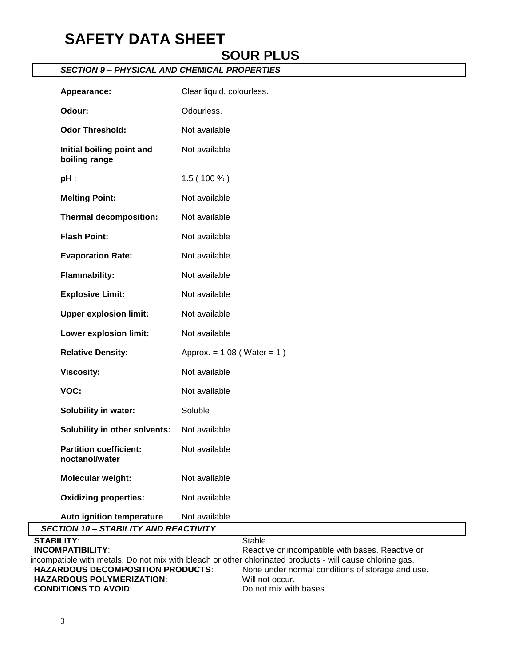# **SAFETY DATA SHEET**

## **SOUR PLUS**

### *SECTION 9 – PHYSICAL AND CHEMICAL PROPERTIES*

| Appearance:                                     | Clear liquid, colourless.                                                                                 |
|-------------------------------------------------|-----------------------------------------------------------------------------------------------------------|
| Odour:                                          | Odourless.                                                                                                |
| <b>Odor Threshold:</b>                          | Not available                                                                                             |
| Initial boiling point and<br>boiling range      | Not available                                                                                             |
| $pH$ :                                          | $1.5(100\%)$                                                                                              |
| <b>Melting Point:</b>                           | Not available                                                                                             |
| <b>Thermal decomposition:</b>                   | Not available                                                                                             |
| <b>Flash Point:</b>                             | Not available                                                                                             |
| <b>Evaporation Rate:</b>                        | Not available                                                                                             |
| <b>Flammability:</b>                            | Not available                                                                                             |
| <b>Explosive Limit:</b>                         | Not available                                                                                             |
| <b>Upper explosion limit:</b>                   | Not available                                                                                             |
| Lower explosion limit:                          | Not available                                                                                             |
| <b>Relative Density:</b>                        | Approx. = $1.08$ (Water = $1)$ )                                                                          |
| <b>Viscosity:</b>                               | Not available                                                                                             |
| VOC:                                            | Not available                                                                                             |
| <b>Solubility in water:</b>                     | Soluble                                                                                                   |
| Solubility in other solvents:                   | Not available                                                                                             |
| <b>Partition coefficient:</b><br>noctanol/water | Not available                                                                                             |
| Molecular weight:                               | Not available                                                                                             |
| <b>Oxidizing properties:</b>                    | Not available                                                                                             |
| Auto ignition temperature                       | Not available                                                                                             |
| <b>SECTION 10 - STABILITY AND REACTIVITY</b>    |                                                                                                           |
| <b>STABILITY:</b>                               | <b>Stable</b>                                                                                             |
| <b>INCOMPATIBILITY:</b>                         | Reactive or incompatible with bases. Reactive or                                                          |
|                                                 | incompatible with metals. Do not mix with bleach or other chlorinated products - will cause chlorine gas. |
| <b>HAZARDOUS DECOMPOSITION PRODUCTS:</b>        | None under normal conditions of storage and use.                                                          |
| <b>HAZARDOUS POLYMERIZATION:</b>                | Will not occur.                                                                                           |

**CONDITIONS TO AVOID:** Do not mix with bases.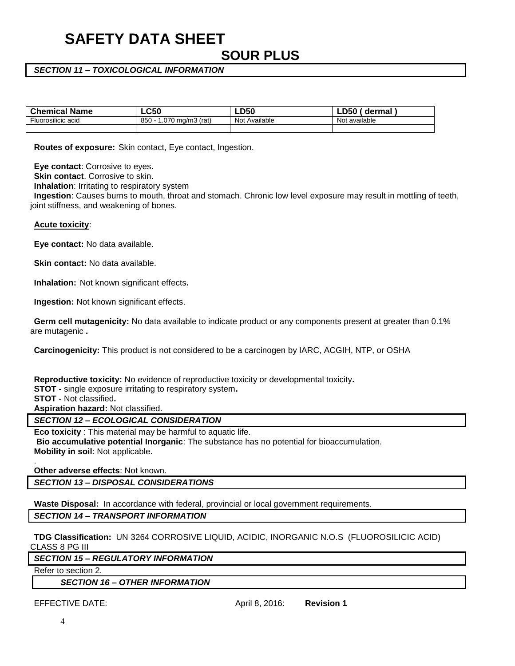# **SAFETY DATA SHEET SOUR PLUS**

#### *SECTION 11 – TOXICOLOGICAL INFORMATION*

| <b>Chemical Name</b>      | $\mathsf{L}\mathsf{C}50$     | $\mathsf{L}\mathsf{D}50$ | D50<br>dermal<br>-⊷       |
|---------------------------|------------------------------|--------------------------|---------------------------|
| <b>Fluorosilicic acid</b> | 850<br>.070<br>0 mg/m3 (rat) | Not Available            | t available<br><b>Not</b> |
|                           |                              |                          |                           |

**Routes of exposure:** Skin contact, Eye contact, Ingestion.

**Eye contact**: Corrosive to eyes.

**Skin contact**. Corrosive to skin.

**Inhalation**: Irritating to respiratory system

**Ingestion**: Causes burns to mouth, throat and stomach. Chronic low level exposure may result in mottling of teeth, joint stiffness, and weakening of bones.

#### **Acute toxicity**:

**Eye contact:** No data available.

**Skin contact:** No data available.

**Inhalation:** Not known significant effects**.**

**Ingestion:** Not known significant effects.

**Germ cell mutagenicity:** No data available to indicate product or any components present at greater than 0.1% are mutagenic **.** 

**Carcinogenicity:** This product is not considered to be a carcinogen by IARC, ACGIH, NTP, or OSHA

**Reproductive toxicity:** No evidence of reproductive toxicity or developmental toxicity**. STOT -** single exposure irritating to respiratory system**. STOT -** Not classified**. Aspiration hazard:** Not classified.

*SECTION 12 – ECOLOGICAL CONSIDERATION*

**Eco toxicity** : This material may be harmful to aquatic life. **Bio accumulative potential Inorganic**: The substance has no potential for bioaccumulation. **Mobility in soil**: Not applicable.

**Other adverse effects**: Not known.

*SECTION 13 – DISPOSAL CONSIDERATIONS*

**Waste Disposal:** In accordance with federal, provincial or local government requirements.

*SECTION 14 – TRANSPORT INFORMATION*

**TDG Classification:** UN 3264 CORROSIVE LIQUID, ACIDIC, INORGANIC N.O.S (FLUOROSILICIC ACID) CLASS 8 PG III

*SECTION 15 – REGULATORY INFORMATION*

Refer to section 2.

.

*SECTION 16 – OTHER INFORMATION*